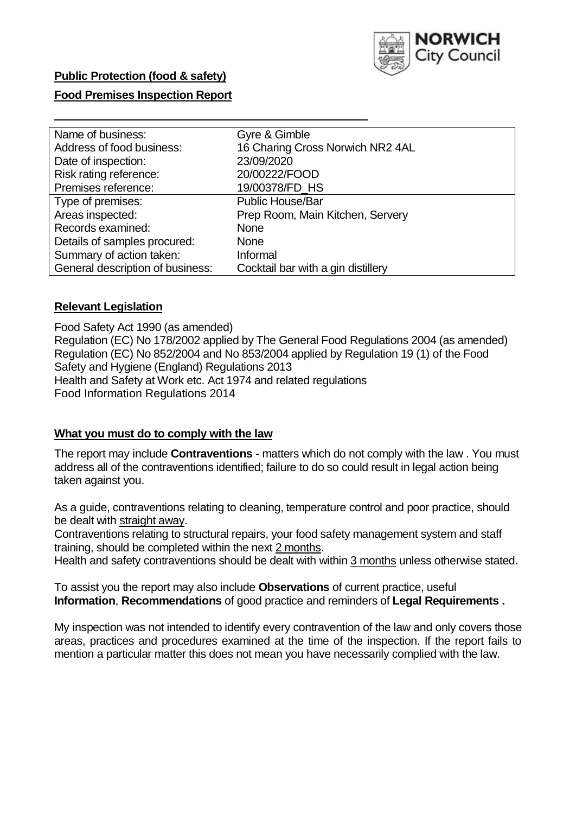

# **Public Protection (food & safety)**

## **Food Premises Inspection Report**

| Name of business:                | Gyre & Gimble                      |
|----------------------------------|------------------------------------|
| Address of food business:        | 16 Charing Cross Norwich NR2 4AL   |
| Date of inspection:              | 23/09/2020                         |
| Risk rating reference:           | 20/00222/FOOD                      |
| Premises reference:              | 19/00378/FD HS                     |
| Type of premises:                | <b>Public House/Bar</b>            |
| Areas inspected:                 | Prep Room, Main Kitchen, Servery   |
| Records examined:                | <b>None</b>                        |
| Details of samples procured:     | <b>None</b>                        |
| Summary of action taken:         | Informal                           |
| General description of business: | Cocktail bar with a gin distillery |

### **Relevant Legislation**

 Food Safety Act 1990 (as amended) Regulation (EC) No 178/2002 applied by The General Food Regulations 2004 (as amended) Regulation (EC) No 852/2004 and No 853/2004 applied by Regulation 19 (1) of the Food Safety and Hygiene (England) Regulations 2013 Health and Safety at Work etc. Act 1974 and related regulations Food Information Regulations 2014

#### **What you must do to comply with the law**

 The report may include **Contraventions** - matters which do not comply with the law . You must address all of the contraventions identified; failure to do so could result in legal action being taken against you.

 As a guide, contraventions relating to cleaning, temperature control and poor practice, should be dealt with straight away.

 Contraventions relating to structural repairs, your food safety management system and staff training, should be completed within the next 2 months.

Health and safety contraventions should be dealt with within 3 months unless otherwise stated.

 To assist you the report may also include **Observations** of current practice, useful **Information**, **Recommendations** of good practice and reminders of **Legal Requirements .** 

 My inspection was not intended to identify every contravention of the law and only covers those areas, practices and procedures examined at the time of the inspection. If the report fails to mention a particular matter this does not mean you have necessarily complied with the law.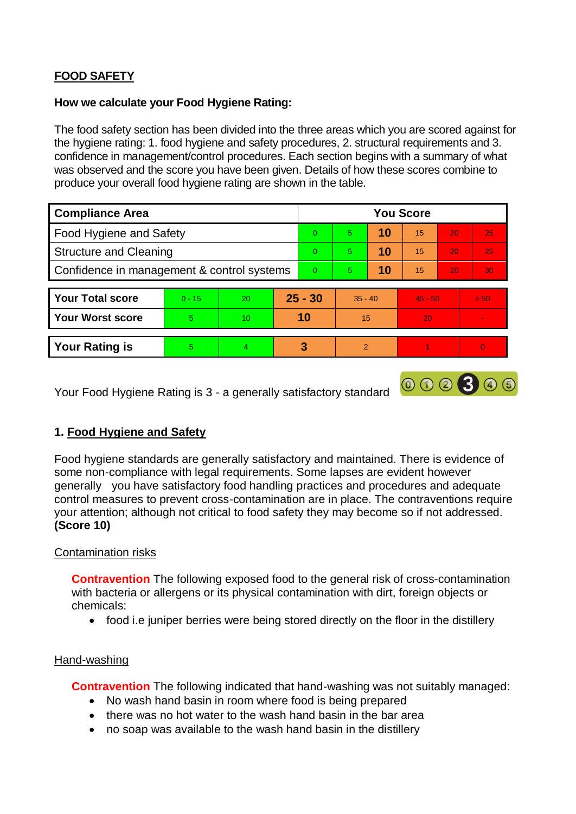# **FOOD SAFETY**

## **How we calculate your Food Hygiene Rating:**

 The food safety section has been divided into the three areas which you are scored against for the hygiene rating: 1. food hygiene and safety procedures, 2. structural requirements and 3. confidence in management/control procedures. Each section begins with a summary of what was observed and the score you have been given. Details of how these scores combine to produce your overall food hygiene rating are shown in the table.

| <b>Compliance Area</b>                     |          |                |           | <b>You Score</b> |               |    |           |                 |          |  |  |
|--------------------------------------------|----------|----------------|-----------|------------------|---------------|----|-----------|-----------------|----------|--|--|
| Food Hygiene and Safety                    |          |                |           | $\Omega$         | 5             | 10 | 15        | 20              | 25       |  |  |
| <b>Structure and Cleaning</b>              |          |                | $\Omega$  | 5.               | 10            | 15 | 20        | 25              |          |  |  |
| Confidence in management & control systems |          |                | $\Omega$  | 5                | 10            | 15 | 20        | 30 <sup>°</sup> |          |  |  |
|                                            |          |                |           |                  |               |    |           |                 |          |  |  |
| <b>Your Total score</b>                    | $0 - 15$ | 20             | $25 - 30$ |                  | $35 - 40$     |    | $45 - 50$ |                 | > 50     |  |  |
| <b>Your Worst score</b>                    | 5        | 10             | 10        |                  | 15            |    | 20        |                 |          |  |  |
|                                            |          |                |           |                  |               |    |           |                 |          |  |  |
| <b>Your Rating is</b>                      | 5.       | $\overline{4}$ |           | 3                | $\mathcal{P}$ |    |           |                 | $\Omega$ |  |  |

Your Food Hygiene Rating is 3 - a generally satisfactory standard

# **1. Food Hygiene and Safety**

 control measures to prevent cross-contamination are in place. The contraventions require Food hygiene standards are generally satisfactory and maintained. There is evidence of some non-compliance with legal requirements. Some lapses are evident however generally you have satisfactory food handling practices and procedures and adequate your attention; although not critical to food safety they may become so if not addressed. **(Score 10)** 

000300

### Contamination risks

 with bacteria or allergens or its physical contamination with dirt, foreign objects or **Contravention** The following exposed food to the general risk of cross-contamination chemicals:

food i.e juniper berries were being stored directly on the floor in the distillery

### Hand-washing

**Contravention** The following indicated that hand-washing was not suitably managed:

- No wash hand basin in room where food is being prepared
- there was no hot water to the wash hand basin in the bar area
- no soap was available to the wash hand basin in the distillery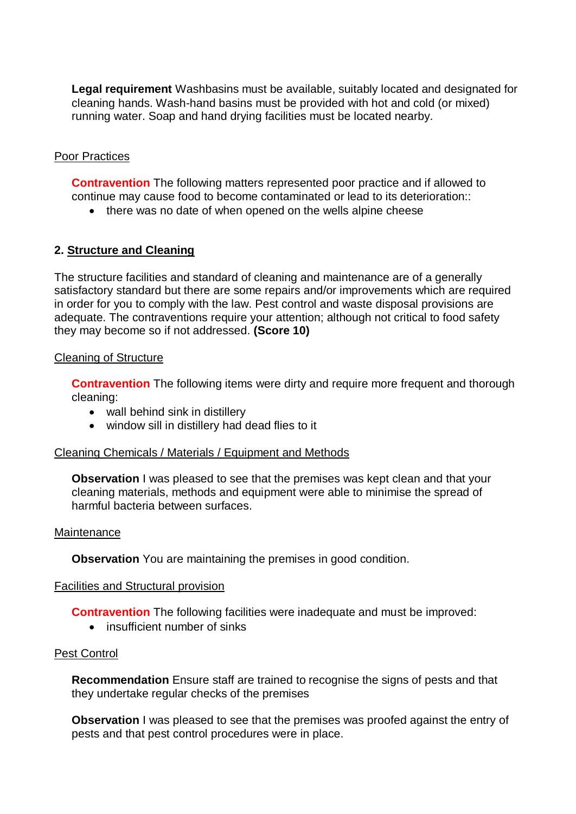**Legal requirement** Washbasins must be available, suitably located and designated for cleaning hands. Wash-hand basins must be provided with hot and cold (or mixed) running water. Soap and hand drying facilities must be located nearby.

# Poor Practices

 continue may cause food to become contaminated or lead to its deterioration:: **Contravention** The following matters represented poor practice and if allowed to

• there was no date of when opened on the wells alpine cheese

# **2. Structure and Cleaning**

 satisfactory standard but there are some repairs and/or improvements which are required The structure facilities and standard of cleaning and maintenance are of a generally in order for you to comply with the law. Pest control and waste disposal provisions are adequate. The contraventions require your attention; although not critical to food safety they may become so if not addressed. **(Score 10)** 

### Cleaning of Structure

**Contravention** The following items were dirty and require more frequent and thorough cleaning:

- wall behind sink in distillery
- window sill in distillery had dead flies to it

### Cleaning Chemicals / Materials / Equipment and Methods

**Observation** I was pleased to see that the premises was kept clean and that your cleaning materials, methods and equipment were able to minimise the spread of harmful bacteria between surfaces.

#### **Maintenance**

**Observation** You are maintaining the premises in good condition.

#### Facilities and Structural provision

**Contravention** The following facilities were inadequate and must be improved:

• insufficient number of sinks

#### Pest Control

**Recommendation** Ensure staff are trained to recognise the signs of pests and that they undertake regular checks of the premises

**Observation** I was pleased to see that the premises was proofed against the entry of pests and that pest control procedures were in place.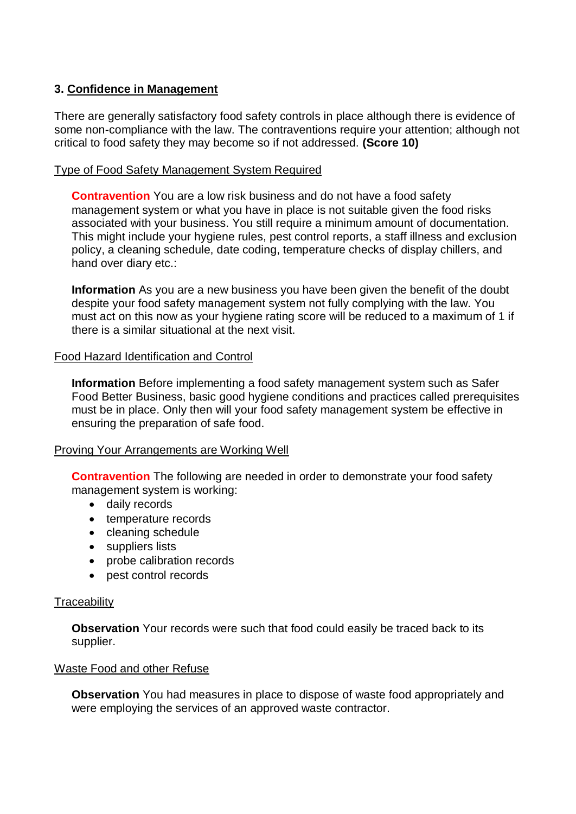# **3. Confidence in Management**

 There are generally satisfactory food safety controls in place although there is evidence of some non-compliance with the law. The contraventions require your attention; although not critical to food safety they may become so if not addressed. **(Score 10)** 

### Type of Food Safety Management System Required

 This might include your hygiene rules, pest control reports, a staff illness and exclusion **Contravention** You are a low risk business and do not have a food safety management system or what you have in place is not suitable given the food risks associated with your business. You still require a minimum amount of documentation. policy, a cleaning schedule, date coding, temperature checks of display chillers, and hand over diary etc.:

 **Information** As you are a new business you have been given the benefit of the doubt despite your food safety management system not fully complying with the law. You must act on this now as your hygiene rating score will be reduced to a maximum of 1 if there is a similar situational at the next visit.

### Food Hazard Identification and Control

 must be in place. Only then will your food safety management system be effective in **Information** Before implementing a food safety management system such as Safer Food Better Business, basic good hygiene conditions and practices called prerequisites ensuring the preparation of safe food.

### **Proving Your Arrangements are Working Well**

**Contravention** The following are needed in order to demonstrate your food safety management system is working:

- daily records
- temperature records
- cleaning schedule
- suppliers lists
- probe calibration records
- pest control records

#### **Traceability**

**Observation** Your records were such that food could easily be traced back to its supplier.

#### Waste Food and other Refuse

**Observation** You had measures in place to dispose of waste food appropriately and were employing the services of an approved waste contractor.